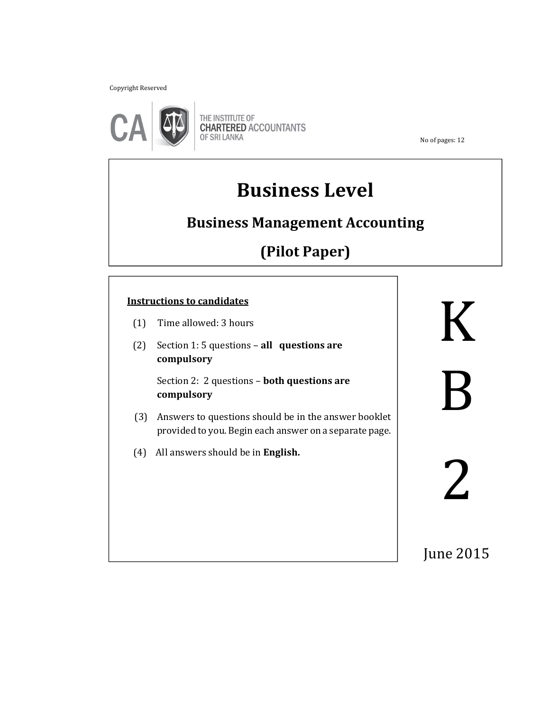Copyright Reserved



THE INSTITUTE OF<br>CHARTERED ACCOUNTANTS OF SRI LANKA

No of pages: 12

# **Business Level**

## **Business Management Accounting**

## **(Pilot Paper)**

#### **Instructions to candidates**

- (1) Time allowed: 3 hours
- (2) Section 1: 5 questions **all questions are compulsory**

 Section 2: 2 questions – **both questions are compulsory**

֚֬֝֬֝֬֝֬֝֬֝֬

- (3) Answers to questions should be in the answer booklet provided to you. Begin each answer on a separate page.
- (4) All answers should be in **English.**

K B

June 2015

2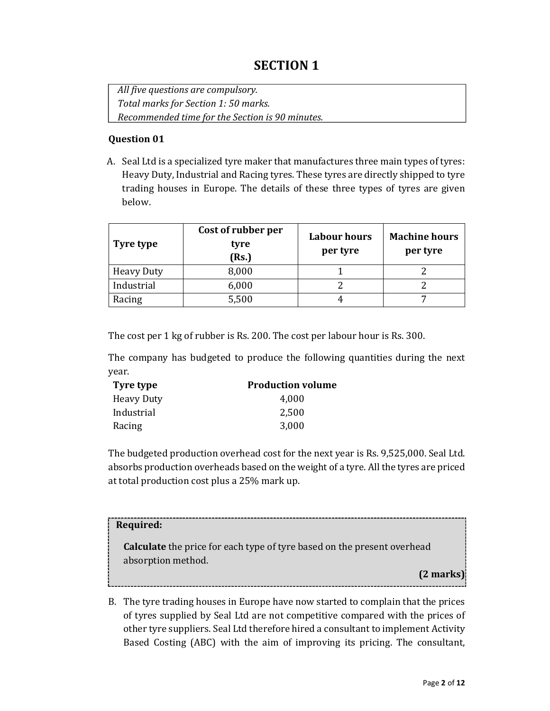## **SECTION 1**

*All five questions are compulsory. Total marks for Section 1: 50 marks. Recommended time for the Section is 90 minutes.* 

#### **Question 01**

A. Seal Ltd is a specialized tyre maker that manufactures three main types of tyres: Heavy Duty, Industrial and Racing tyres. These tyres are directly shipped to tyre trading houses in Europe. The details of these three types of tyres are given below.

| Tyre type         | Cost of rubber per<br>tyre<br>(Rs.) | <b>Labour hours</b><br>per tyre | <b>Machine hours</b><br>per tyre |  |
|-------------------|-------------------------------------|---------------------------------|----------------------------------|--|
| <b>Heavy Duty</b> | 8,000                               |                                 |                                  |  |
| Industrial        | 6,000                               |                                 |                                  |  |
| Racing            | 5,500                               |                                 |                                  |  |

The cost per 1 kg of rubber is Rs. 200. The cost per labour hour is Rs. 300.

The company has budgeted to produce the following quantities during the next year.

| Tyre type         | <b>Production volume</b> |
|-------------------|--------------------------|
| <b>Heavy Duty</b> | 4.000                    |
| Industrial        | 2,500                    |
| Racing            | 3,000                    |

The budgeted production overhead cost for the next year is Rs. 9,525,000. Seal Ltd. absorbs production overheads based on the weight of a tyre. All the tyres are priced at total production cost plus a 25% mark up.

#### **Required:**

**Calculate** the price for each type of tyre based on the present overhead absorption method.

**(2 marks)**

B. The tyre trading houses in Europe have now started to complain that the prices of tyres supplied by Seal Ltd are not competitive compared with the prices of other tyre suppliers. Seal Ltd therefore hired a consultant to implement Activity Based Costing (ABC) with the aim of improving its pricing. The consultant,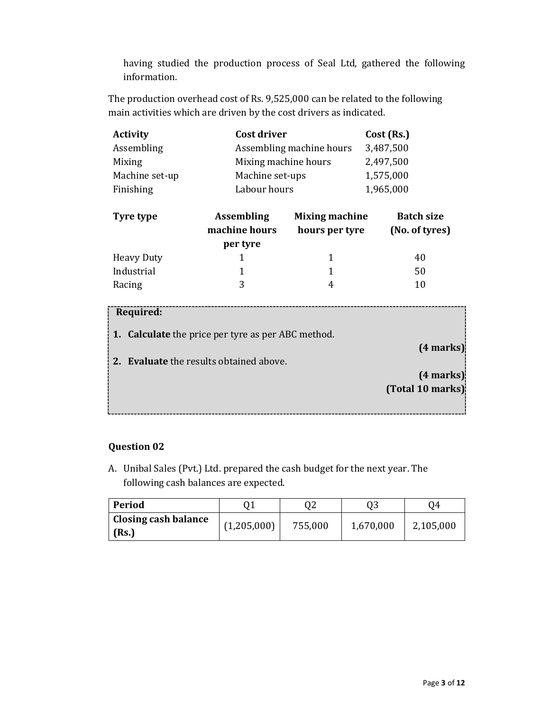having studied the production process of Seal Ltd, gathered the following information.

The production overhead cost of Rs. 9,525,000 can be related to the following main activities which are driven by the cost drivers as indicated.

| <b>Activity</b> | Cost driver              | Cost (Rs.) |
|-----------------|--------------------------|------------|
| Assembling      | Assembling machine hours | 3,487,500  |
| Mixing          | Mixing machine hours     | 2,497,500  |
| Machine set-up  | Machine set-ups          | 1,575,000  |
| Finishing       | Labour hours             | 1,965,000  |

| <b>Assembling</b><br>Tyre type<br>machine hours<br>per tyre |   | <b>Mixing machine</b><br>hours per tyre | <b>Batch size</b><br>(No. of tyres) |
|-------------------------------------------------------------|---|-----------------------------------------|-------------------------------------|
| <b>Heavy Duty</b>                                           |   | 1                                       | 40                                  |
| Industrial                                                  |   |                                         | 50                                  |
| Racing                                                      | २ | 4                                       | 10                                  |

| Required:                                                 |                  |
|-----------------------------------------------------------|------------------|
| <b>1.</b> Calculate the price per tyre as per ABC method. |                  |
|                                                           | (4 marks)        |
| 2. Evaluate the results obtained above.                   |                  |
|                                                           | $(4$ marks):     |
|                                                           | (Total 10 marks) |
|                                                           |                  |

#### **Question 02**

A. Unibal Sales (Pvt.) Ltd. prepared the cash budget for the next year. The following cash balances are expected.

| Period               |             | 02      |           | 04        |  |
|----------------------|-------------|---------|-----------|-----------|--|
| Closing cash balance | (1,205,000) | 755,000 | 1,670,000 | 2,105,000 |  |
| (Rs.)                |             |         |           |           |  |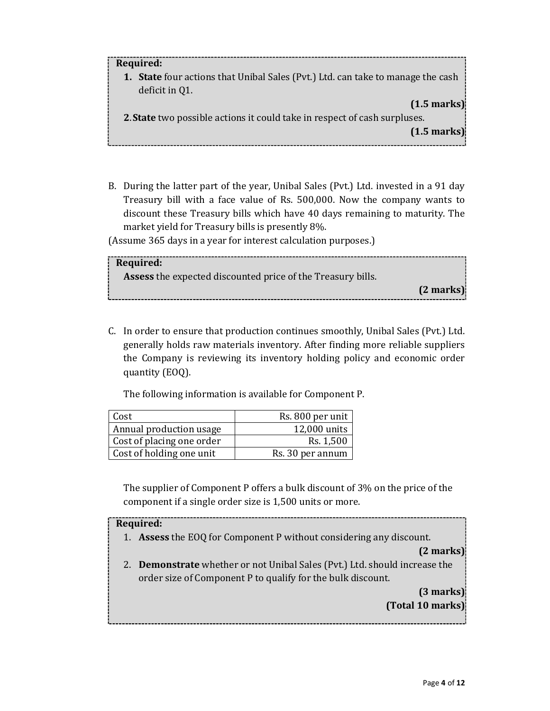#### **Required:**

**1. State** four actions that Unibal Sales (Pvt.) Ltd. can take to manage the cash deficit in Q1.

**(1.5 marks)**

**2**. **State** two possible actions it could take in respect of cash surpluses.

**(1.5 marks)** 

B. During the latter part of the year, Unibal Sales (Pvt.) Ltd. invested in a 91 day Treasury bill with a face value of Rs. 500,000. Now the company wants to discount these Treasury bills which have 40 days remaining to maturity. The market yield for Treasury bills is presently 8%.

(Assume 365 days in a year for interest calculation purposes.)

| Required:                                                          |                     |
|--------------------------------------------------------------------|---------------------|
| <b>Assess</b> the expected discounted price of the Treasury bills. |                     |
|                                                                    | $(2 \text{ marks})$ |
|                                                                    |                     |

C. In order to ensure that production continues smoothly, Unibal Sales (Pvt.) Ltd. generally holds raw materials inventory. After finding more reliable suppliers the Company is reviewing its inventory holding policy and economic order quantity (EOQ).

The following information is available for Component P.

| Cost                      | Rs. 800 per unit |
|---------------------------|------------------|
| Annual production usage   | 12,000 units     |
| Cost of placing one order | Rs. 1,500        |
| Cost of holding one unit  | Rs. 30 per annum |

The supplier of Component P offers a bulk discount of 3% on the price of the component if a single order size is 1,500 units or more.

## **Required:**  1. **Assess** the EOQ for Component P without considering any discount. **(2 marks)**  2. **Demonstrate** whether or not Unibal Sales (Pvt.) Ltd. should increase the order size of Component P to qualify for the bulk discount. **(3 marks) (Total 10 marks)**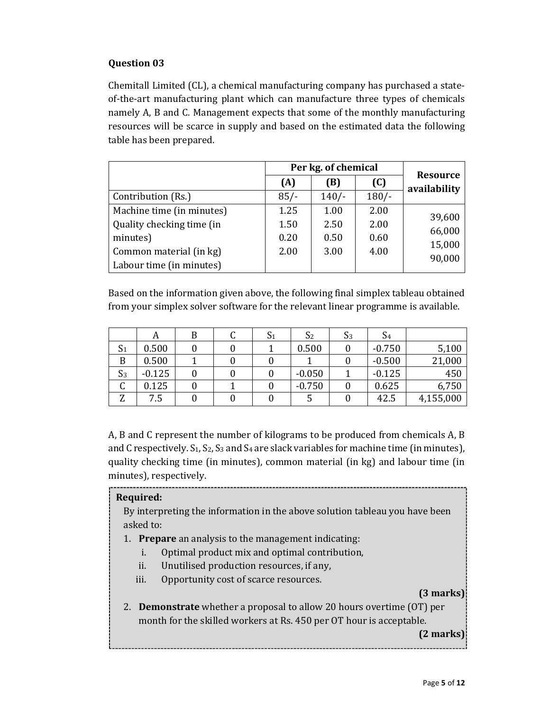#### **Question 03**

Chemitall Limited (CL), a chemical manufacturing company has purchased a stateof-the-art manufacturing plant which can manufacture three types of chemicals namely A, B and C. Management expects that some of the monthly manufacturing resources will be scarce in supply and based on the estimated data the following table has been prepared.

|                           | Per kg. of chemical | <b>Resource</b> |         |              |
|---------------------------|---------------------|-----------------|---------|--------------|
|                           | (A)                 | (B)             | (C)     | availability |
| Contribution (Rs.)        | $85/-$              | $140/-$         | $180/-$ |              |
| Machine time (in minutes) | 1.25                | 1.00            | 2.00    | 39,600       |
| Quality checking time (in | 1.50                | 2.50            | 2.00    | 66,000       |
| minutes)                  | 0.20                | 0.50            | 0.60    | 15,000       |
| Common material (in kg)   | 2.00                | 3.00            | 4.00    |              |
| Labour time (in minutes)  |                     |                 |         | 90,000       |

Based on the information given above, the following final simplex tableau obtained from your simplex solver software for the relevant linear programme is available.

|                | A        | В | $\mathrm{S}_1$ | S <sub>2</sub> | S <sub>3</sub> | S <sub>4</sub> |           |
|----------------|----------|---|----------------|----------------|----------------|----------------|-----------|
| S <sub>1</sub> | 0.500    |   |                | 0.500          |                | $-0.750$       | 5,100     |
| B              | 0.500    |   |                |                |                | $-0.500$       | 21,000    |
| S <sub>3</sub> | $-0.125$ |   |                | $-0.050$       |                | $-0.125$       | 450       |
| U              | 0.125    |   |                | $-0.750$       |                | 0.625          | 6,750     |
| Z              | 7.5      |   |                |                |                | 42.5           | 4,155,000 |

A, B and C represent the number of kilograms to be produced from chemicals A, B and C respectively.  $S_1$ ,  $S_2$ ,  $S_3$  and  $S_4$  are slack variables for machine time (in minutes), quality checking time (in minutes), common material (in kg) and labour time (in minutes), respectively.

#### **Required:**

By interpreting the information in the above solution tableau you have been asked to:

- 1. **Prepare** an analysis to the management indicating:
	- i. Optimal product mix and optimal contribution,
	- ii. Unutilised production resources, if any,
	- iii. Opportunity cost of scarce resources.

#### **(3 marks)**

2. **Demonstrate** whether a proposal to allow 20 hours overtime (OT) per month for the skilled workers at Rs. 450 per OT hour is acceptable.

**(2 marks)**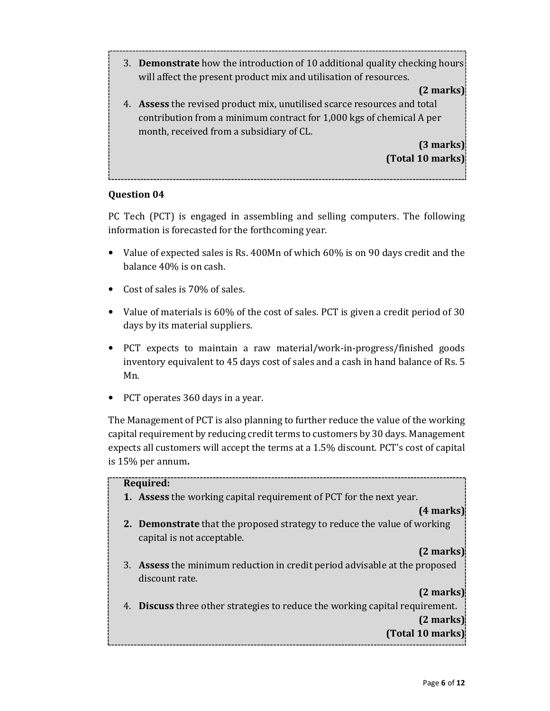3. **Demonstrate** how the introduction of 10 additional quality checking hours will affect the present product mix and utilisation of resources.

#### **(2 marks)**

4. **Assess** the revised product mix, unutilised scarce resources and total contribution from a minimum contract for 1,000 kgs of chemical A per month, received from a subsidiary of CL.

> **(3 marks) (Total 10 marks)**

#### **Question 04**

PC Tech (PCT) is engaged in assembling and selling computers. The following information is forecasted for the forthcoming year.

- Value of expected sales is Rs. 400Mn of which 60% is on 90 days credit and the balance 40% is on cash.
- Cost of sales is 70% of sales.
- Value of materials is 60% of the cost of sales. PCT is given a credit period of 30 days by its material suppliers.
- PCT expects to maintain a raw material/work-in-progress/finished goods inventory equivalent to 45 days cost of sales and a cash in hand balance of Rs. 5 Mn.
- PCT operates 360 days in a year.

The Management of PCT is also planning to further reduce the value of the working capital requirement by reducing credit terms to customers by 30 days. Management expects all customers will accept the terms at a 1.5% discount. PCT's cost of capital is 15% per annum**.**

### **Required: 1. Assess** the working capital requirement of PCT for the next year. **(4 marks) 2. Demonstrate** that the proposed strategy to reduce the value of working capital is not acceptable. **(2 marks)** 3. **Assess** the minimum reduction in credit period advisable at the proposed discount rate. **(2 marks)** 4. **Discuss** three other strategies to reduce the working capital requirement. **(2 marks) (Total 10 marks)**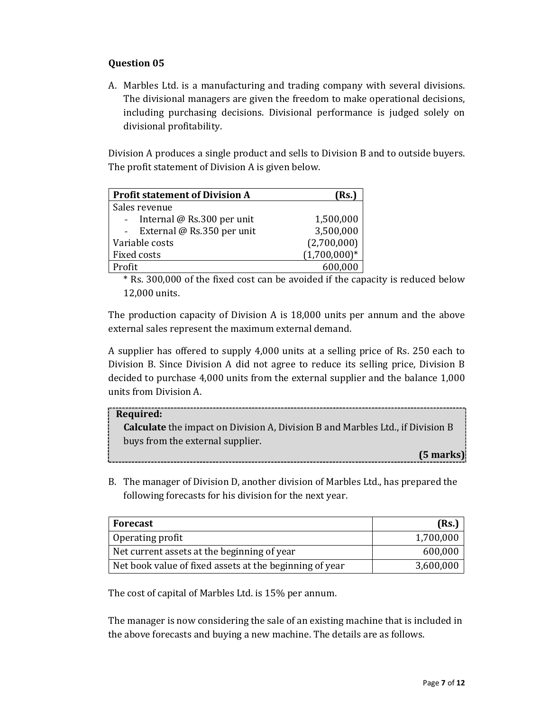#### **Question 05**

A. Marbles Ltd. is a manufacturing and trading company with several divisions. The divisional managers are given the freedom to make operational decisions, including purchasing decisions. Divisional performance is judged solely on divisional profitability.

Division A produces a single product and sells to Division B and to outside buyers. The profit statement of Division A is given below.

| <b>Profit statement of Division A</b> | (Rs.)          |
|---------------------------------------|----------------|
| Sales revenue                         |                |
| Internal @ Rs.300 per unit            | 1,500,000      |
| External @ Rs.350 per unit            | 3,500,000      |
| Variable costs                        | (2,700,000)    |
| Fixed costs                           | $(1,700,000)*$ |
| Profit                                |                |

\* Rs. 300,000 of the fixed cost can be avoided if the capacity is reduced below 12,000 units.

The production capacity of Division A is 18,000 units per annum and the above external sales represent the maximum external demand.

A supplier has offered to supply 4,000 units at a selling price of Rs. 250 each to Division B. Since Division A did not agree to reduce its selling price, Division B decided to purchase 4,000 units from the external supplier and the balance 1,000 units from Division A.

#### **Required:**

**Calculate** the impact on Division A, Division B and Marbles Ltd., if Division B buys from the external supplier.

**(5 marks)**

B. The manager of Division D, another division of Marbles Ltd., has prepared the following forecasts for his division for the next year.

| Forecast                                                | (Rs.)     |
|---------------------------------------------------------|-----------|
| Operating profit                                        | 1,700,000 |
| Net current assets at the beginning of year             | 600,000   |
| Net book value of fixed assets at the beginning of year | 3,600,000 |

The cost of capital of Marbles Ltd. is 15% per annum.

The manager is now considering the sale of an existing machine that is included in the above forecasts and buying a new machine. The details are as follows.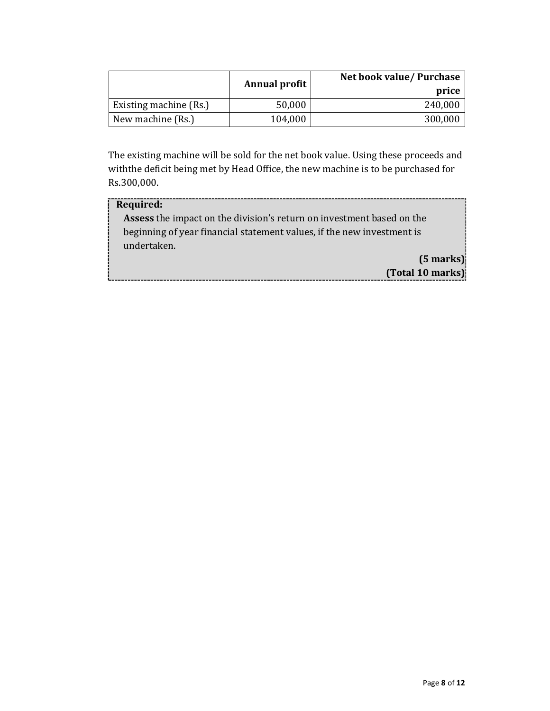|                        | Annual profit | Net book value/ Purchase<br>price |
|------------------------|---------------|-----------------------------------|
| Existing machine (Rs.) | 50,000        | 240,000                           |
| New machine (Rs.)      | 104,000       | 300,000                           |

The existing machine will be sold for the net book value. Using these proceeds and withthe deficit being met by Head Office, the new machine is to be purchased for Rs.300,000.

| Required:                                                                    |  |  |
|------------------------------------------------------------------------------|--|--|
| <b>Assess</b> the impact on the division's return on investment based on the |  |  |
| beginning of year financial statement values, if the new investment is       |  |  |
| undertaken.                                                                  |  |  |
| $(5$ marks) $)$                                                              |  |  |
| (Total 10 marks)                                                             |  |  |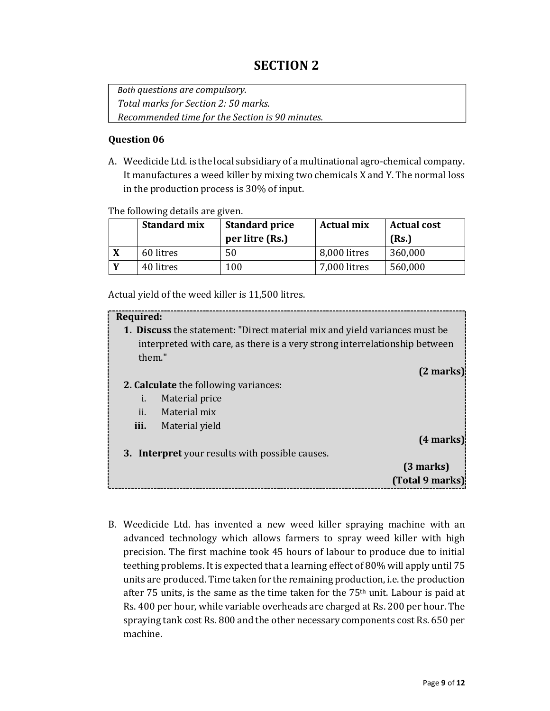## **SECTION 2**

*Both questions are compulsory. Total marks for Section 2: 50 marks. Recommended time for the Section is 90 minutes.* 

#### **Question 06**

A. Weedicide Ltd. is the local subsidiary of a multinational agro-chemical company. It manufactures a weed killer by mixing two chemicals X and Y. The normal loss in the production process is 30% of input.

The following details are given.

| <b>Standard mix</b> | <b>Standard price</b><br>per litre (Rs.) | <b>Actual mix</b> | <b>Actual cost</b><br>(Rs.) |  |
|---------------------|------------------------------------------|-------------------|-----------------------------|--|
| 60 litres           | 50                                       | 8,000 litres      | 360,000                     |  |
| 40 litres           | 100                                      | 7,000 litres      | 560,000                     |  |

Actual yield of the weed killer is 11,500 litres.

| Required:                                                                                                                                                |                 |  |  |
|----------------------------------------------------------------------------------------------------------------------------------------------------------|-----------------|--|--|
| 1. Discuss the statement: "Direct material mix and yield variances must be<br>interpreted with care, as there is a very strong interrelationship between |                 |  |  |
| them."                                                                                                                                                   |                 |  |  |
|                                                                                                                                                          | $(2$ marks)     |  |  |
| <b>2. Calculate</b> the following variances:                                                                                                             |                 |  |  |
| i.                                                                                                                                                       | Material price  |  |  |
| ii.                                                                                                                                                      | Material mix    |  |  |
| iii.                                                                                                                                                     | Material yield  |  |  |
|                                                                                                                                                          | (4 marks)       |  |  |
| 3. Interpret your results with possible causes.                                                                                                          |                 |  |  |
|                                                                                                                                                          | $(3$ marks)     |  |  |
|                                                                                                                                                          | (Total 9 marks) |  |  |
|                                                                                                                                                          |                 |  |  |

B. Weedicide Ltd. has invented a new weed killer spraying machine with an advanced technology which allows farmers to spray weed killer with high precision. The first machine took 45 hours of labour to produce due to initial teething problems. It is expected that a learning effect of 80% will apply until 75 units are produced. Time taken for the remaining production, i.e. the production after 75 units, is the same as the time taken for the 75th unit. Labour is paid at Rs. 400 per hour, while variable overheads are charged at Rs. 200 per hour. The spraying tank cost Rs. 800 and the other necessary components cost Rs. 650 per machine.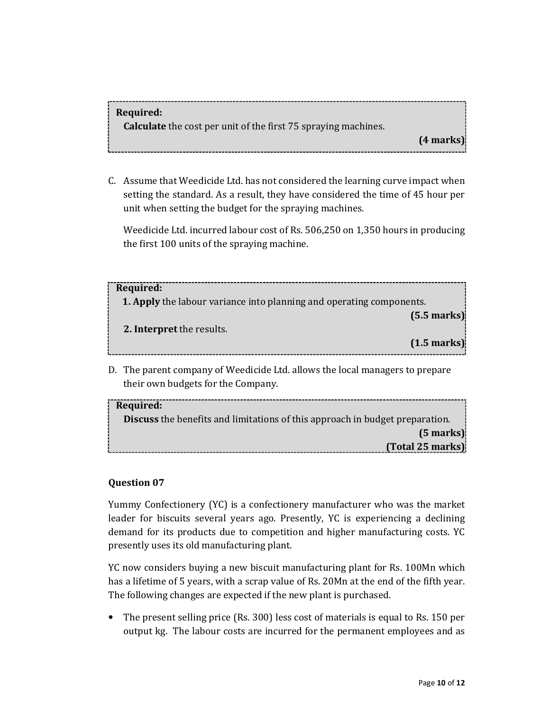#### **Required:**

**Calculate** the cost per unit of the first 75 spraying machines.

**(4 marks)** 

C. Assume that Weedicide Ltd. has not considered the learning curve impact when setting the standard. As a result, they have considered the time of 45 hour per unit when setting the budget for the spraying machines.

Weedicide Ltd. incurred labour cost of Rs. 506,250 on 1,350 hours in producing the first 100 units of the spraying machine.

| Required:                                                                                                          |  |  |  |  |
|--------------------------------------------------------------------------------------------------------------------|--|--|--|--|
| <b>1. Apply</b> the labour variance into planning and operating components.                                        |  |  |  |  |
| $(5.5 \text{ marks})$<br>2. Interpret the results.<br>$(1.5 \text{ marks})$                                        |  |  |  |  |
| D. The parent company of Weedicide Ltd. allows the local managers to prepare<br>their own budgets for the Company. |  |  |  |  |

**Required: Discuss** the benefits and limitations of this approach in budget preparation. **(5 marks) (Total 25 marks)**

#### **Question 07**

Yummy Confectionery (YC) is a confectionery manufacturer who was the market leader for biscuits several years ago. Presently, YC is experiencing a declining demand for its products due to competition and higher manufacturing costs. YC presently uses its old manufacturing plant.

YC now considers buying a new biscuit manufacturing plant for Rs. 100Mn which has a lifetime of 5 years, with a scrap value of Rs. 20Mn at the end of the fifth year. The following changes are expected if the new plant is purchased.

• The present selling price (Rs. 300) less cost of materials is equal to Rs. 150 per output kg. The labour costs are incurred for the permanent employees and as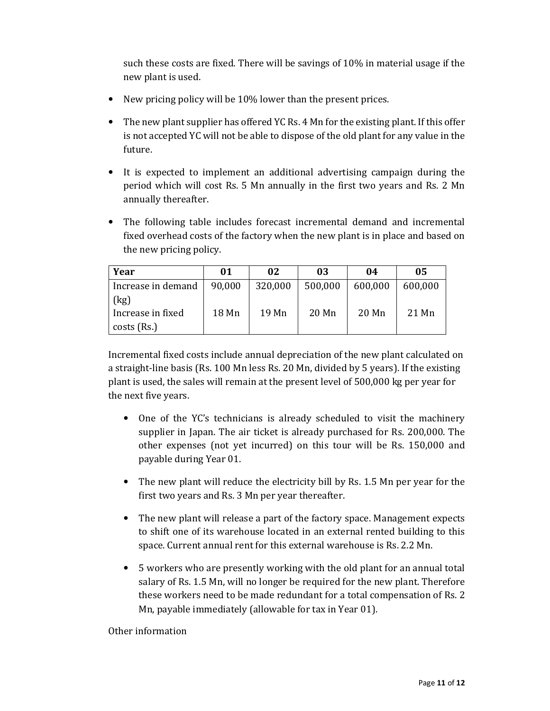such these costs are fixed. There will be savings of 10% in material usage if the new plant is used.

- New pricing policy will be 10% lower than the present prices.
- The new plant supplier has offered YC Rs. 4 Mn for the existing plant. If this offer is not accepted YC will not be able to dispose of the old plant for any value in the future.
- It is expected to implement an additional advertising campaign during the period which will cost Rs. 5 Mn annually in the first two years and Rs. 2 Mn annually thereafter.
- The following table includes forecast incremental demand and incremental fixed overhead costs of the factory when the new plant is in place and based on the new pricing policy.

| Year               | 01     | 02      | 03      | 04      | 05      |
|--------------------|--------|---------|---------|---------|---------|
| Increase in demand | 90,000 | 320,000 | 500,000 | 600,000 | 600,000 |
| (kg)               |        |         |         |         |         |
| Increase in fixed  | 18 Mn  | 19 Mn   | $20$ Mn | $20$ Mn | 21 Mn   |
| $costs$ (Rs.)      |        |         |         |         |         |

Incremental fixed costs include annual depreciation of the new plant calculated on a straight-line basis (Rs. 100 Mn less Rs. 20 Mn, divided by 5 years). If the existing plant is used, the sales will remain at the present level of 500,000 kg per year for the next five years.

- One of the YC's technicians is already scheduled to visit the machinery supplier in Japan. The air ticket is already purchased for Rs. 200,000. The other expenses (not yet incurred) on this tour will be Rs. 150,000 and payable during Year 01.
- The new plant will reduce the electricity bill by Rs. 1.5 Mn per year for the first two years and Rs. 3 Mn per year thereafter.
- The new plant will release a part of the factory space. Management expects to shift one of its warehouse located in an external rented building to this space. Current annual rent for this external warehouse is Rs. 2.2 Mn.
- 5 workers who are presently working with the old plant for an annual total salary of Rs. 1.5 Mn, will no longer be required for the new plant. Therefore these workers need to be made redundant for a total compensation of Rs. 2 Mn, payable immediately (allowable for tax in Year 01).

Other information